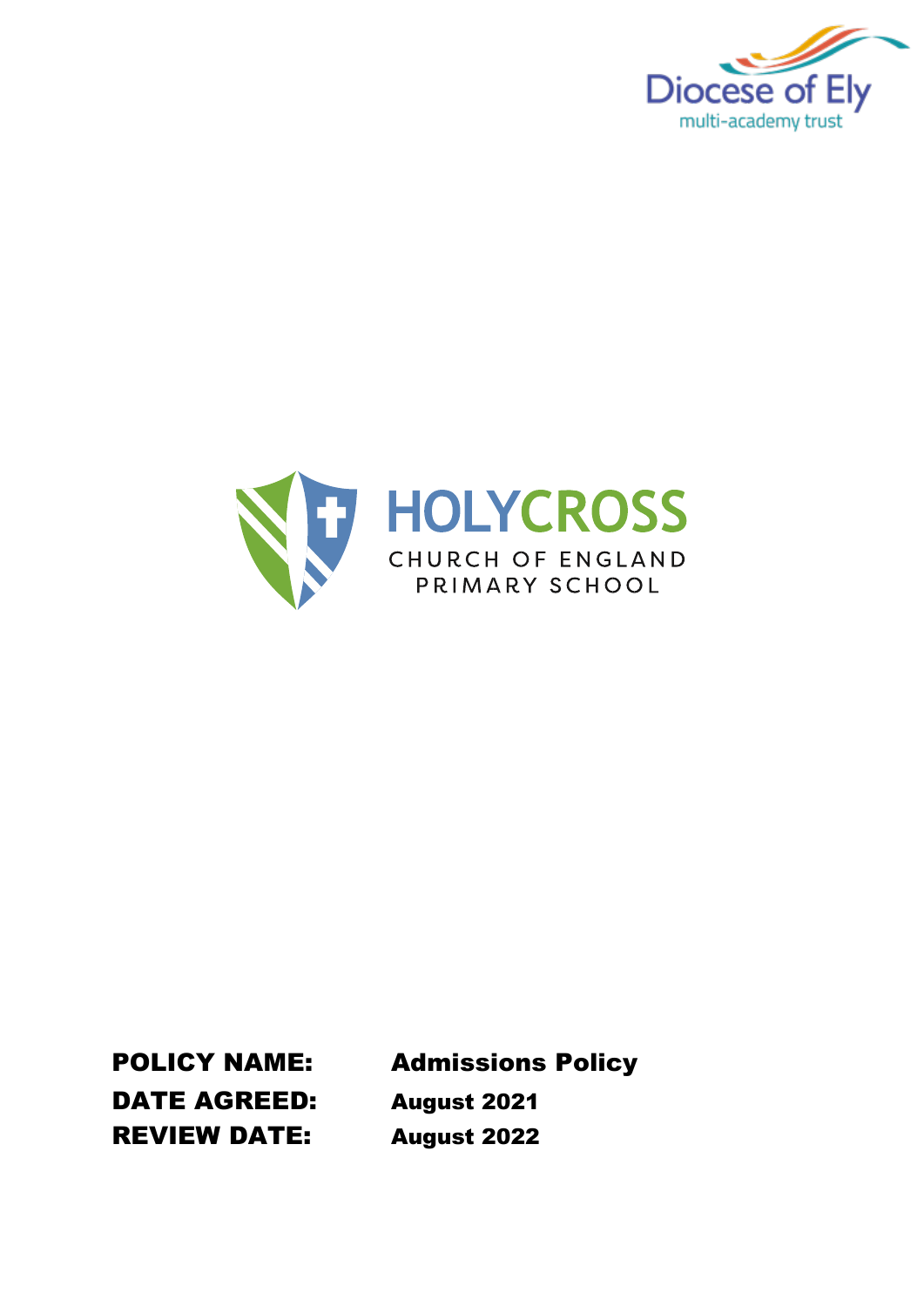



DATE AGREED: August 2021 REVIEW DATE: August 2022

POLICY NAME: Admissions Policy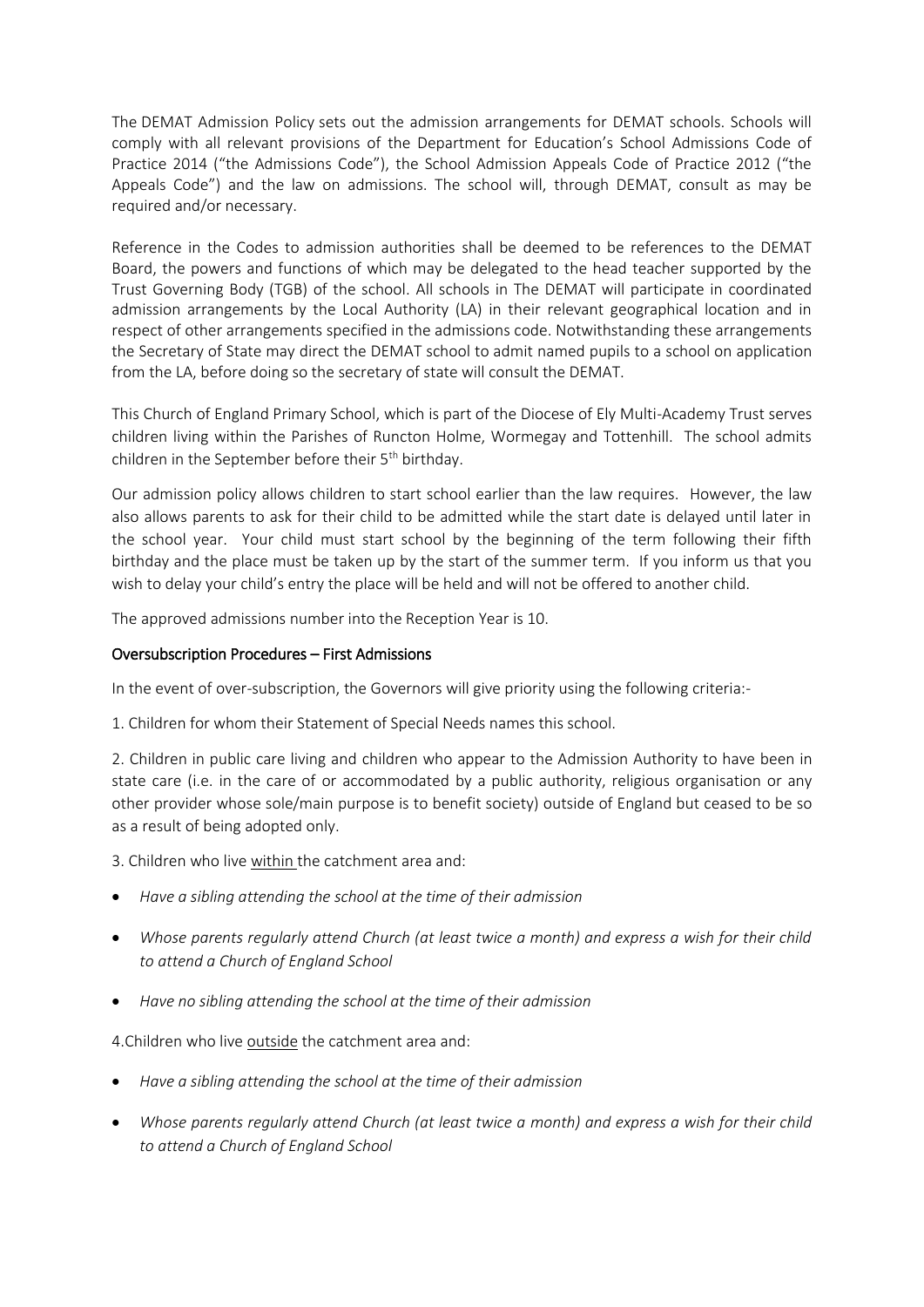The DEMAT Admission Policy sets out the admission arrangements for DEMAT schools. Schools will comply with all relevant provisions of the Department for Education's School Admissions Code of Practice 2014 ("the Admissions Code"), the School Admission Appeals Code of Practice 2012 ("the Appeals Code") and the law on admissions. The school will, through DEMAT, consult as may be required and/or necessary.

Reference in the Codes to admission authorities shall be deemed to be references to the DEMAT Board, the powers and functions of which may be delegated to the head teacher supported by the Trust Governing Body (TGB) of the school. All schools in The DEMAT will participate in coordinated admission arrangements by the Local Authority (LA) in their relevant geographical location and in respect of other arrangements specified in the admissions code. Notwithstanding these arrangements the Secretary of State may direct the DEMAT school to admit named pupils to a school on application from the LA, before doing so the secretary of state will consult the DEMAT.

This Church of England Primary School, which is part of the Diocese of Ely Multi-Academy Trust serves children living within the Parishes of Runcton Holme, Wormegay and Tottenhill. The school admits children in the September before their  $5<sup>th</sup>$  birthday.

Our admission policy allows children to start school earlier than the law requires. However, the law also allows parents to ask for their child to be admitted while the start date is delayed until later in the school year. Your child must start school by the beginning of the term following their fifth birthday and the place must be taken up by the start of the summer term. If you inform us that you wish to delay your child's entry the place will be held and will not be offered to another child.

The approved admissions number into the Reception Year is 10.

## Oversubscription Procedures – First Admissions

In the event of over-subscription, the Governors will give priority using the following criteria:-

1. Children for whom their Statement of Special Needs names this school.

2. Children in public care living and children who appear to the Admission Authority to have been in state care (i.e. in the care of or accommodated by a public authority, religious organisation or any other provider whose sole/main purpose is to benefit society) outside of England but ceased to be so as a result of being adopted only.

3. Children who live within the catchment area and:

- *Have a sibling attending the school at the time of their admission*
- *Whose parents regularly attend Church (at least twice a month) and express a wish for their child to attend a Church of England School*
- *Have no sibling attending the school at the time of their admission*

4.Children who live outside the catchment area and:

- *Have a sibling attending the school at the time of their admission*
- *Whose parents regularly attend Church (at least twice a month) and express a wish for their child to attend a Church of England School*